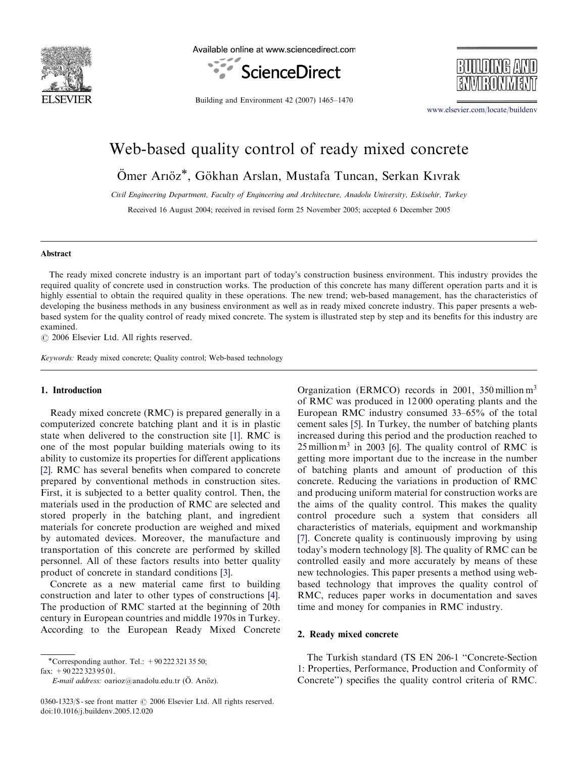

Available online at www.sciencedirect.com





Building and Environment 42 (2007) 1465–1470

<www.elsevier.com/locate/buildenv>

## Web-based quality control of ready mixed concrete

Ömer Arıöz\*, Gökhan Arslan, Mustafa Tuncan, Serkan Kıvrak

Civil Engineering Department, Faculty of Engineering and Architecture, Anadolu University, Eskisehir, Turkey

Received 16 August 2004; received in revised form 25 November 2005; accepted 6 December 2005

#### Abstract

The ready mixed concrete industry is an important part of today's construction business environment. This industry provides the required quality of concrete used in construction works. The production of this concrete has many different operation parts and it is highly essential to obtain the required quality in these operations. The new trend; web-based management, has the characteristics of developing the business methods in any business environment as well as in ready mixed concrete industry. This paper presents a webbased system for the quality control of ready mixed concrete. The system is illustrated step by step and its benefits for this industry are examined.

 $C$  2006 Elsevier Ltd. All rights reserved.

Keywords: Ready mixed concrete; Quality control; Web-based technology

#### 1. Introduction

Ready mixed concrete (RMC) is prepared generally in a computerized concrete batching plant and it is in plastic state when delivered to the construction site [\[1\].](#page--1-0) RMC is one of the most popular building materials owing to its ability to customize its properties for different applications [\[2\].](#page--1-0) RMC has several benefits when compared to concrete prepared by conventional methods in construction sites. First, it is subjected to a better quality control. Then, the materials used in the production of RMC are selected and stored properly in the batching plant, and ingredient materials for concrete production are weighed and mixed by automated devices. Moreover, the manufacture and transportation of this concrete are performed by skilled personnel. All of these factors results into better quality product of concrete in standard conditions [\[3\]](#page--1-0).

Concrete as a new material came first to building construction and later to other types of constructions [\[4\].](#page--1-0) The production of RMC started at the beginning of 20th century in European countries and middle 1970s in Turkey. According to the European Ready Mixed Concrete

-Corresponding author. Tel.: +90 222 321 35 50;

fax: +90 222 323 95 01.

E-mail address: oarioz@anadolu.edu.tr (Ö. Arıöz).

 $0360-1323/\$  - see front matter  $\odot$  2006 Elsevier Ltd. All rights reserved. doi:10.1016/j.buildenv.2005.12.020

Organization (ERMCO) records in 2001, 350 million  $m<sup>3</sup>$ of RMC was produced in 12 000 operating plants and the European RMC industry consumed 33–65% of the total cement sales [\[5\].](#page--1-0) In Turkey, the number of batching plants increased during this period and the production reached to  $25$  million m<sup>3</sup> in 2003 [\[6\].](#page--1-0) The quality control of RMC is getting more important due to the increase in the number of batching plants and amount of production of this concrete. Reducing the variations in production of RMC and producing uniform material for construction works are the aims of the quality control. This makes the quality control procedure such a system that considers all characteristics of materials, equipment and workmanship [\[7\].](#page--1-0) Concrete quality is continuously improving by using today's modern technology [\[8\]](#page--1-0). The quality of RMC can be controlled easily and more accurately by means of these new technologies. This paper presents a method using webbased technology that improves the quality control of RMC, reduces paper works in documentation and saves time and money for companies in RMC industry.

### 2. Ready mixed concrete

The Turkish standard (TS EN 206-1 ''Concrete-Section 1: Properties, Performance, Production and Conformity of Concrete'') specifies the quality control criteria of RMC.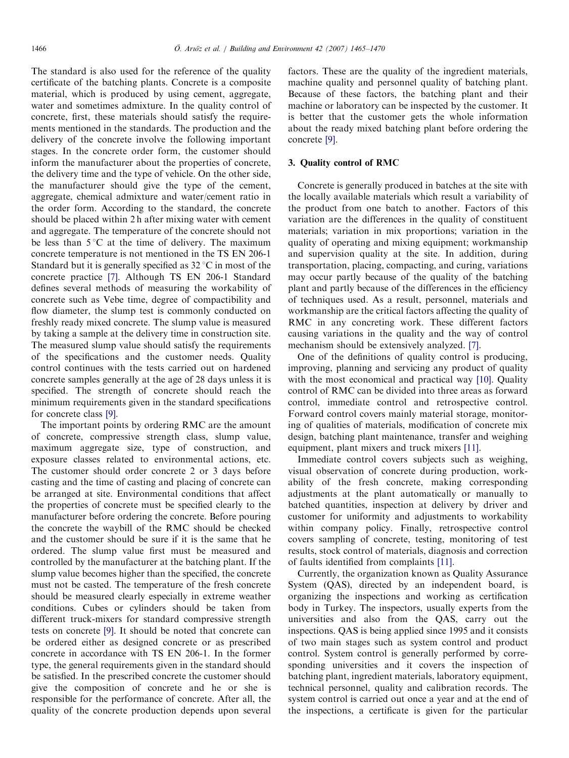The standard is also used for the reference of the quality certificate of the batching plants. Concrete is a composite material, which is produced by using cement, aggregate, water and sometimes admixture. In the quality control of concrete, first, these materials should satisfy the requirements mentioned in the standards. The production and the delivery of the concrete involve the following important stages. In the concrete order form, the customer should inform the manufacturer about the properties of concrete, the delivery time and the type of vehicle. On the other side, the manufacturer should give the type of the cement, aggregate, chemical admixture and water/cement ratio in the order form. According to the standard, the concrete should be placed within 2 h after mixing water with cement and aggregate. The temperature of the concrete should not be less than  $5^{\circ}$ C at the time of delivery. The maximum concrete temperature is not mentioned in the TS EN 206-1 Standard but it is generally specified as  $32^{\circ}$ C in most of the concrete practice [\[7\]](#page--1-0). Although TS EN 206-1 Standard defines several methods of measuring the workability of concrete such as Vebe time, degree of compactibility and flow diameter, the slump test is commonly conducted on freshly ready mixed concrete. The slump value is measured by taking a sample at the delivery time in construction site. The measured slump value should satisfy the requirements of the specifications and the customer needs. Quality control continues with the tests carried out on hardened concrete samples generally at the age of 28 days unless it is specified. The strength of concrete should reach the minimum requirements given in the standard specifications for concrete class [\[9\]](#page--1-0).

The important points by ordering RMC are the amount of concrete, compressive strength class, slump value, maximum aggregate size, type of construction, and exposure classes related to environmental actions, etc. The customer should order concrete 2 or 3 days before casting and the time of casting and placing of concrete can be arranged at site. Environmental conditions that affect the properties of concrete must be specified clearly to the manufacturer before ordering the concrete. Before pouring the concrete the waybill of the RMC should be checked and the customer should be sure if it is the same that he ordered. The slump value first must be measured and controlled by the manufacturer at the batching plant. If the slump value becomes higher than the specified, the concrete must not be casted. The temperature of the fresh concrete should be measured clearly especially in extreme weather conditions. Cubes or cylinders should be taken from different truck-mixers for standard compressive strength tests on concrete [\[9\].](#page--1-0) It should be noted that concrete can be ordered either as designed concrete or as prescribed concrete in accordance with TS EN 206-1. In the former type, the general requirements given in the standard should be satisfied. In the prescribed concrete the customer should give the composition of concrete and he or she is responsible for the performance of concrete. After all, the quality of the concrete production depends upon several factors. These are the quality of the ingredient materials, machine quality and personnel quality of batching plant. Because of these factors, the batching plant and their machine or laboratory can be inspected by the customer. It is better that the customer gets the whole information about the ready mixed batching plant before ordering the concrete [\[9\]](#page--1-0).

#### 3. Quality control of RMC

Concrete is generally produced in batches at the site with the locally available materials which result a variability of the product from one batch to another. Factors of this variation are the differences in the quality of constituent materials; variation in mix proportions; variation in the quality of operating and mixing equipment; workmanship and supervision quality at the site. In addition, during transportation, placing, compacting, and curing, variations may occur partly because of the quality of the batching plant and partly because of the differences in the efficiency of techniques used. As a result, personnel, materials and workmanship are the critical factors affecting the quality of RMC in any concreting work. These different factors causing variations in the quality and the way of control mechanism should be extensively analyzed. [\[7\]](#page--1-0).

One of the definitions of quality control is producing, improving, planning and servicing any product of quality with the most economical and practical way [\[10\]](#page--1-0). Quality control of RMC can be divided into three areas as forward control, immediate control and retrospective control. Forward control covers mainly material storage, monitoring of qualities of materials, modification of concrete mix design, batching plant maintenance, transfer and weighing equipment, plant mixers and truck mixers [\[11\]](#page--1-0).

Immediate control covers subjects such as weighing, visual observation of concrete during production, workability of the fresh concrete, making corresponding adjustments at the plant automatically or manually to batched quantities, inspection at delivery by driver and customer for uniformity and adjustments to workability within company policy. Finally, retrospective control covers sampling of concrete, testing, monitoring of test results, stock control of materials, diagnosis and correction of faults identified from complaints [\[11\]](#page--1-0).

Currently, the organization known as Quality Assurance System (QAS), directed by an independent board, is organizing the inspections and working as certification body in Turkey. The inspectors, usually experts from the universities and also from the QAS, carry out the inspections. QAS is being applied since 1995 and it consists of two main stages such as system control and product control. System control is generally performed by corresponding universities and it covers the inspection of batching plant, ingredient materials, laboratory equipment, technical personnel, quality and calibration records. The system control is carried out once a year and at the end of the inspections, a certificate is given for the particular